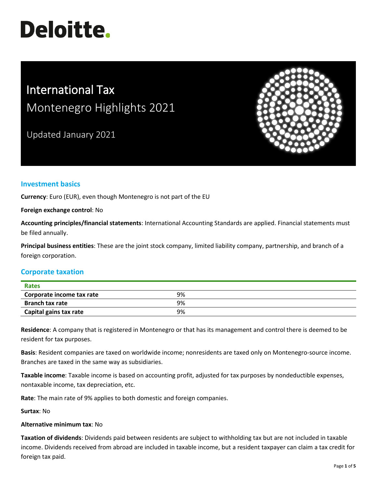# **Deloitte.**

# International Tax Montenegro Highlights 2021

Updated January 2021



# **Investment basics**

**Currency**: Euro (EUR), even though Montenegro is not part of the EU

#### **Foreign exchange control**: No

**Accounting principles/financial statements**: International Accounting Standards are applied. Financial statements must be filed annually.

**Principal business entities**: These are the joint stock company, limited liability company, partnership, and branch of a foreign corporation.

# **Corporate taxation**

| <b>Rates</b>              |    |  |
|---------------------------|----|--|
| Corporate income tax rate | 9% |  |
| <b>Branch tax rate</b>    | 9% |  |
| Capital gains tax rate    | 9% |  |

**Residence**: A company that is registered in Montenegro or that has its management and control there is deemed to be resident for tax purposes.

**Basis**: Resident companies are taxed on worldwide income; nonresidents are taxed only on Montenegro-source income. Branches are taxed in the same way as subsidiaries.

**Taxable income**: Taxable income is based on accounting profit, adjusted for tax purposes by nondeductible expenses, nontaxable income, tax depreciation, etc.

**Rate**: The main rate of 9% applies to both domestic and foreign companies.

**Surtax**: No

### **Alternative minimum tax**: No

**Taxation of dividends**: Dividends paid between residents are subject to withholding tax but are not included in taxable income. Dividends received from abroad are included in taxable income, but a resident taxpayer can claim a tax credit for foreign tax paid.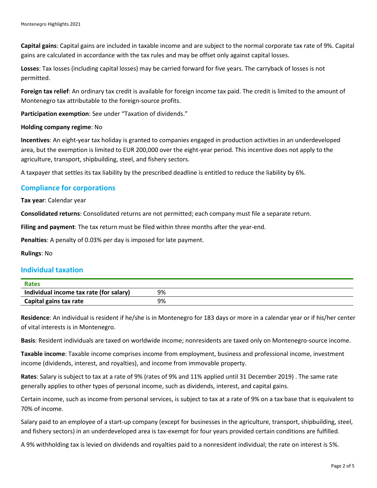**Capital gains**: Capital gains are included in taxable income and are subject to the normal corporate tax rate of 9%. Capital gains are calculated in accordance with the tax rules and may be offset only against capital losses.

**Losses**: Tax losses (including capital losses) may be carried forward for five years. The carryback of losses is not permitted.

**Foreign tax relief**: An ordinary tax credit is available for foreign income tax paid. The credit is limited to the amount of Montenegro tax attributable to the foreign-source profits.

**Participation exemption**: See under "Taxation of dividends."

#### **Holding company regime**: No

**Incentives**: An eight-year tax holiday is granted to companies engaged in production activities in an underdeveloped area, but the exemption is limited to EUR 200,000 over the eight-year period. This incentive does not apply to the agriculture, transport, shipbuilding, steel, and fishery sectors.

A taxpayer that settles its tax liability by the prescribed deadline is entitled to reduce the liability by 6%.

### **Compliance for corporations**

#### **Tax year**: Calendar year

**Consolidated returns**: Consolidated returns are not permitted; each company must file a separate return.

**Filing and payment**: The tax return must be filed within three months after the year-end.

**Penalties**: A penalty of 0.03% per day is imposed for late payment.

**Rulings**: No

### **Individual taxation**

| Rates                                   |    |
|-----------------------------------------|----|
| Individual income tax rate (for salary) | 9% |
| Capital gains tax rate                  | 9% |

**Residence**: An individual is resident if he/she is in Montenegro for 183 days or more in a calendar year or if his/her center of vital interests is in Montenegro.

**Basis**: Resident individuals are taxed on worldwide income; nonresidents are taxed only on Montenegro-source income.

**Taxable income**: Taxable income comprises income from employment, business and professional income, investment income (dividends, interest, and royalties), and income from immovable property.

**Rates**: Salary is subject to tax at a rate of 9% (rates of 9% and 11% applied until 31 December 2019) . The same rate generally applies to other types of personal income, such as dividends, interest, and capital gains.

Certain income, such as income from personal services, is subject to tax at a rate of 9% on a tax base that is equivalent to 70% of income.

Salary paid to an employee of a start-up company (except for businesses in the agriculture, transport, shipbuilding, steel, and fishery sectors) in an underdeveloped area is tax-exempt for four years provided certain conditions are fulfilled.

A 9% withholding tax is levied on dividends and royalties paid to a nonresident individual; the rate on interest is 5%.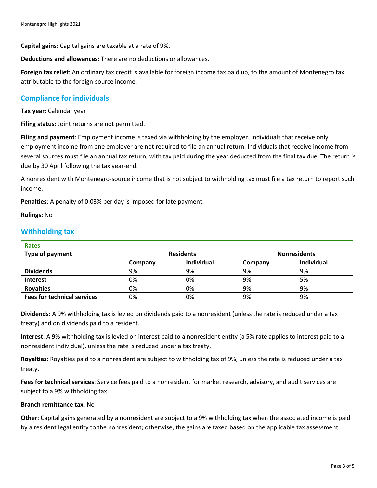**Capital gains**: Capital gains are taxable at a rate of 9%.

**Deductions and allowances**: There are no deductions or allowances.

**Foreign tax relief**: An ordinary tax credit is available for foreign income tax paid up, to the amount of Montenegro tax attributable to the foreign-source income.

# **Compliance for individuals**

**Tax year**: Calendar year

**Filing status**: Joint returns are not permitted.

**Filing and payment**: Employment income is taxed via withholding by the employer. Individuals that receive only employment income from one employer are not required to file an annual return. Individuals that receive income from several sources must file an annual tax return, with tax paid during the year deducted from the final tax due. The return is due by 30 April following the tax year-end.

A nonresident with Montenegro-source income that is not subject to withholding tax must file a tax return to report such income.

**Penalties**: A penalty of 0.03% per day is imposed for late payment.

**Rulings**: No

### **Withholding tax**

| <b>Rates</b>                       |                  |                   |                     |            |
|------------------------------------|------------------|-------------------|---------------------|------------|
| Type of payment                    | <b>Residents</b> |                   | <b>Nonresidents</b> |            |
|                                    | Company          | <b>Individual</b> | Company             | Individual |
| <b>Dividends</b>                   | 9%               | 9%                | 9%                  | 9%         |
| <b>Interest</b>                    | 0%               | 0%                | 9%                  | 5%         |
| <b>Royalties</b>                   | 0%               | 0%                | 9%                  | 9%         |
| <b>Fees for technical services</b> | 0%               | 0%                | 9%                  | 9%         |

**Dividends**: A 9% withholding tax is levied on dividends paid to a nonresident (unless the rate is reduced under a tax treaty) and on dividends paid to a resident.

**Interest**: A 9% withholding tax is levied on interest paid to a nonresident entity (a 5% rate applies to interest paid to a nonresident individual), unless the rate is reduced under a tax treaty.

**Royalties**: Royalties paid to a nonresident are subject to withholding tax of 9%, unless the rate is reduced under a tax treaty.

**Fees for technical services**: Service fees paid to a nonresident for market research, advisory, and audit services are subject to a 9% withholding tax.

#### **Branch remittance tax**: No

**Other**: Capital gains generated by a nonresident are subject to a 9% withholding tax when the associated income is paid by a resident legal entity to the nonresident; otherwise, the gains are taxed based on the applicable tax assessment.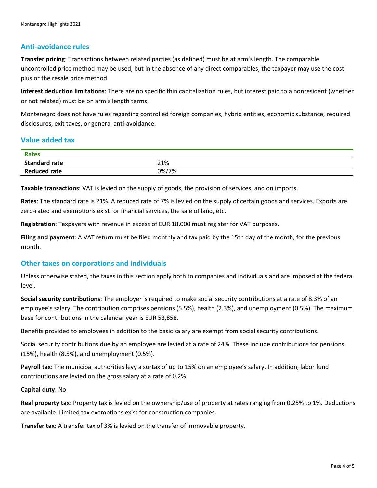# **Anti-avoidance rules**

**Transfer pricing**: Transactions between related parties (as defined) must be at arm's length. The comparable uncontrolled price method may be used, but in the absence of any direct comparables, the taxpayer may use the costplus or the resale price method.

**Interest deduction limitations**: There are no specific thin capitalization rules, but interest paid to a nonresident (whether or not related) must be on arm's length terms.

Montenegro does not have rules regarding controlled foreign companies, hybrid entities, economic substance, required disclosures, exit taxes, or general anti-avoidance.

# **Value added tax**

| <b>Rates</b>         |       |
|----------------------|-------|
| <b>Standard rate</b> | 21%   |
| <b>Reduced rate</b>  | 0%/7% |

**Taxable transactions**: VAT is levied on the supply of goods, the provision of services, and on imports.

**Rates**: The standard rate is 21%. A reduced rate of 7% is levied on the supply of certain goods and services. Exports are zero-rated and exemptions exist for financial services, the sale of land, etc.

**Registration**: Taxpayers with revenue in excess of EUR 18,000 must register for VAT purposes.

**Filing and payment**: A VAT return must be filed monthly and tax paid by the 15th day of the month, for the previous month.

### **Other taxes on corporations and individuals**

Unless otherwise stated, the taxes in this section apply both to companies and individuals and are imposed at the federal level.

**Social security contributions**: The employer is required to make social security contributions at a rate of 8.3% of an employee's salary. The contribution comprises pensions (5.5%), health (2.3%), and unemployment (0.5%). The maximum base for contributions in the calendar year is EUR 53,858.

Benefits provided to employees in addition to the basic salary are exempt from social security contributions.

Social security contributions due by an employee are levied at a rate of 24%. These include contributions for pensions (15%), health (8.5%), and unemployment (0.5%).

**Payroll tax**: The municipal authorities levy a surtax of up to 15% on an employee's salary. In addition, labor fund contributions are levied on the gross salary at a rate of 0.2%.

#### **Capital duty**: No

**Real property tax**: Property tax is levied on the ownership/use of property at rates ranging from 0.25% to 1%. Deductions are available. Limited tax exemptions exist for construction companies.

**Transfer tax**: A transfer tax of 3% is levied on the transfer of immovable property.